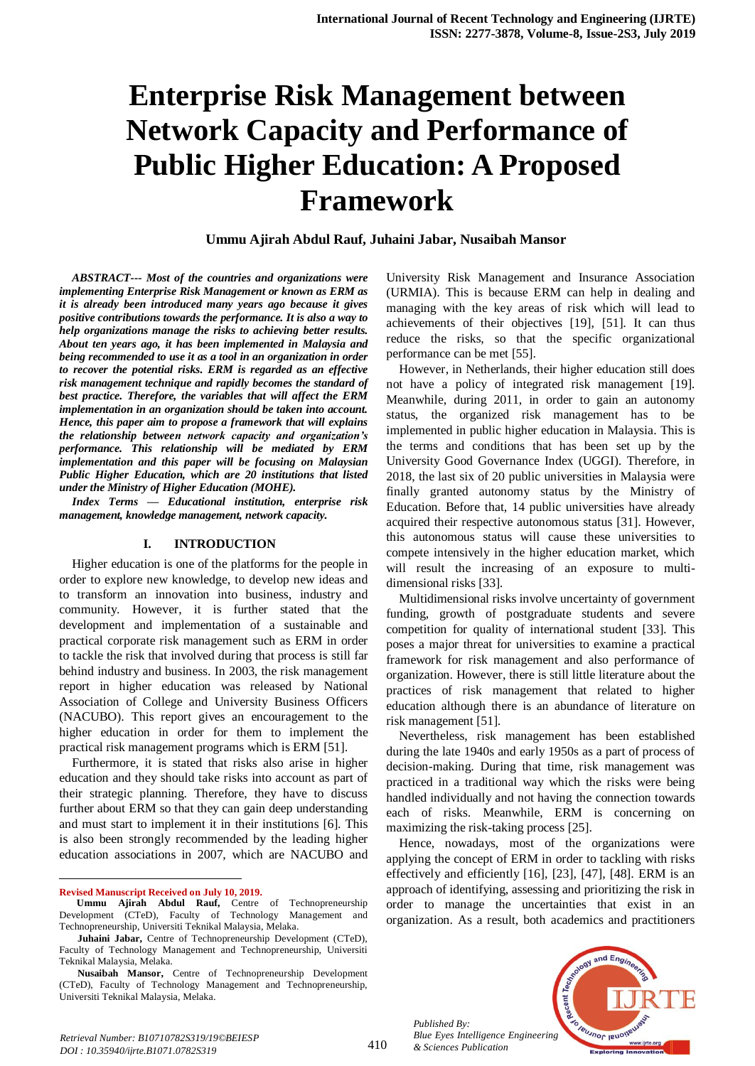# **Enterprise Risk Management between Network Capacity and Performance of Public Higher Education: A Proposed Framework**

**Ummu Ajirah Abdul Rauf, Juhaini Jabar, Nusaibah Mansor**

*ABSTRACT--- Most of the countries and organizations were implementing Enterprise Risk Management or known as ERM as it is already been introduced many years ago because it gives positive contributions towards the performance. It is also a way to help organizations manage the risks to achieving better results. About ten years ago, it has been implemented in Malaysia and being recommended to use it as a tool in an organization in order to recover the potential risks. ERM is regarded as an effective risk management technique and rapidly becomes the standard of best practice. Therefore, the variables that will affect the ERM implementation in an organization should be taken into account. Hence, this paper aim to propose a framework that will explains the relationship between network capacity and organization's performance. This relationship will be mediated by ERM implementation and this paper will be focusing on Malaysian Public Higher Education, which are 20 institutions that listed under the Ministry of Higher Education (MOHE).*

*Index Terms — Educational institution, enterprise risk management, knowledge management, network capacity.*

#### **I. INTRODUCTION**

Higher education is one of the platforms for the people in order to explore new knowledge, to develop new ideas and to transform an innovation into business, industry and community. However, it is further stated that the development and implementation of a sustainable and practical corporate risk management such as ERM in order to tackle the risk that involved during that process is still far behind industry and business. In 2003, the risk management report in higher education was released by National Association of College and University Business Officers (NACUBO). This report gives an encouragement to the higher education in order for them to implement the practical risk management programs which is ERM [51].

Furthermore, it is stated that risks also arise in higher education and they should take risks into account as part of their strategic planning. Therefore, they have to discuss further about ERM so that they can gain deep understanding and must start to implement it in their institutions [6]. This is also been strongly recommended by the leading higher education associations in 2007, which are NACUBO and

**Revised Manuscript Received on July 10, 2019.**

 $\ddot{\phantom{a}}$ 

University Risk Management and Insurance Association (URMIA). This is because ERM can help in dealing and managing with the key areas of risk which will lead to achievements of their objectives [19], [51]. It can thus reduce the risks, so that the specific organizational performance can be met [55].

However, in Netherlands, their higher education still does not have a policy of integrated risk management [19]. Meanwhile, during 2011, in order to gain an autonomy status, the organized risk management has to be implemented in public higher education in Malaysia. This is the terms and conditions that has been set up by the University Good Governance Index (UGGI). Therefore, in 2018, the last six of 20 public universities in Malaysia were finally granted autonomy status by the Ministry of Education. Before that, 14 public universities have already acquired their respective autonomous status [31]. However, this autonomous status will cause these universities to compete intensively in the higher education market, which will result the increasing of an exposure to multidimensional risks [33].

Multidimensional risks involve uncertainty of government funding, growth of postgraduate students and severe competition for quality of international student [33]. This poses a major threat for universities to examine a practical framework for risk management and also performance of organization. However, there is still little literature about the practices of risk management that related to higher education although there is an abundance of literature on risk management [51].

Nevertheless, risk management has been established during the late 1940s and early 1950s as a part of process of decision-making. During that time, risk management was practiced in a traditional way which the risks were being handled individually and not having the connection towards each of risks. Meanwhile, ERM is concerning on maximizing the risk-taking process [25].

Hence, nowadays, most of the organizations were applying the concept of ERM in order to tackling with risks effectively and efficiently [16], [23], [47], [48]. ERM is an approach of identifying, assessing and prioritizing the risk in order to manage the uncertainties that exist in an organization. As a result, both academics and practitioners

*Published By: Blue Eyes Intelligence Engineering & Sciences Publication* 



**Ummu Ajirah Abdul Rauf,** Centre of Technopreneurship Development (CTeD), Faculty of Technology Management and Technopreneurship, Universiti Teknikal Malaysia, Melaka.

**Juhaini Jabar,** Centre of Technopreneurship Development (CTeD), Faculty of Technology Management and Technopreneurship, Universiti Teknikal Malaysia, Melaka.

**Nusaibah Mansor,** Centre of Technopreneurship Development (CTeD), Faculty of Technology Management and Technopreneurship, Universiti Teknikal Malaysia, Melaka.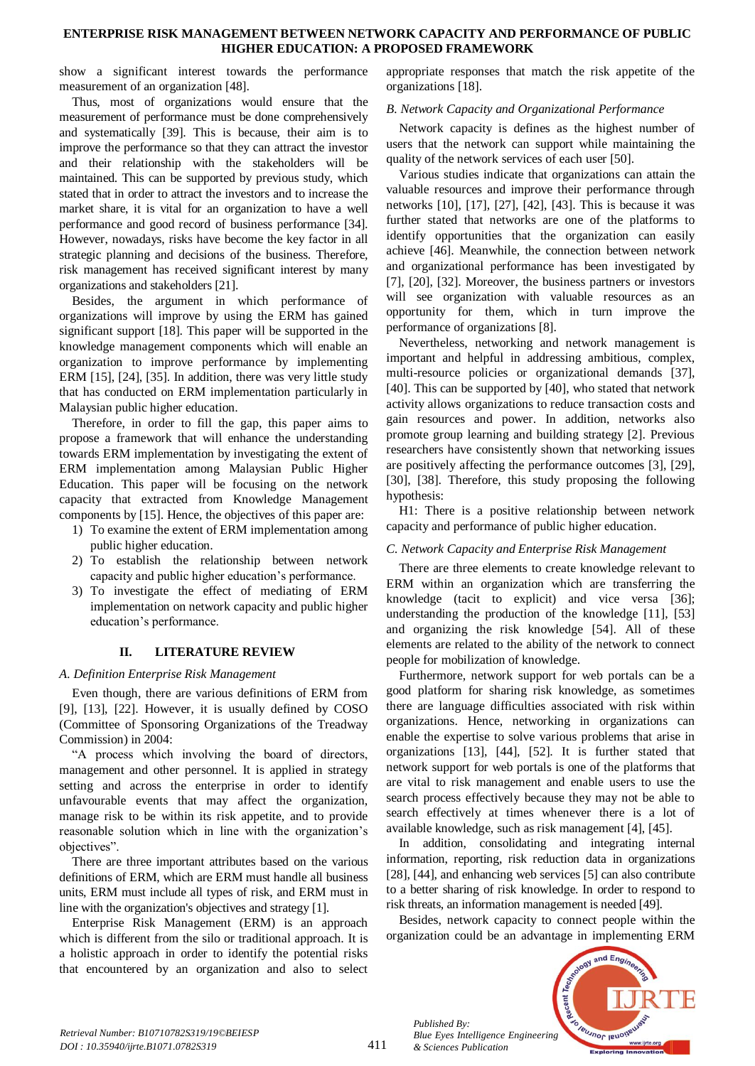## **ENTERPRISE RISK MANAGEMENT BETWEEN NETWORK CAPACITY AND PERFORMANCE OF PUBLIC HIGHER EDUCATION: A PROPOSED FRAMEWORK**

show a significant interest towards the performance measurement of an organization [48].

Thus, most of organizations would ensure that the measurement of performance must be done comprehensively and systematically [39]. This is because, their aim is to improve the performance so that they can attract the investor and their relationship with the stakeholders will be maintained. This can be supported by previous study, which stated that in order to attract the investors and to increase the market share, it is vital for an organization to have a well performance and good record of business performance [34]. However, nowadays, risks have become the key factor in all strategic planning and decisions of the business. Therefore, risk management has received significant interest by many organizations and stakeholders [21].

Besides, the argument in which performance of organizations will improve by using the ERM has gained significant support [18]. This paper will be supported in the knowledge management components which will enable an organization to improve performance by implementing ERM [15], [24], [35]. In addition, there was very little study that has conducted on ERM implementation particularly in Malaysian public higher education.

Therefore, in order to fill the gap, this paper aims to propose a framework that will enhance the understanding towards ERM implementation by investigating the extent of ERM implementation among Malaysian Public Higher Education. This paper will be focusing on the network capacity that extracted from Knowledge Management components by [15]. Hence, the objectives of this paper are:

- 1) To examine the extent of ERM implementation among public higher education.
- 2) To establish the relationship between network capacity and public higher education's performance.
- 3) To investigate the effect of mediating of ERM implementation on network capacity and public higher education's performance.

# **II. LITERATURE REVIEW**

# *A. Definition Enterprise Risk Management*

Even though, there are various definitions of ERM from [9], [13], [22]. However, it is usually defined by COSO (Committee of Sponsoring Organizations of the Treadway Commission) in 2004:

"A process which involving the board of directors, management and other personnel. It is applied in strategy setting and across the enterprise in order to identify unfavourable events that may affect the organization, manage risk to be within its risk appetite, and to provide reasonable solution which in line with the organization's objectives".

There are three important attributes based on the various definitions of ERM, which are ERM must handle all business units, ERM must include all types of risk, and ERM must in line with the organization's objectives and strategy [1].

Enterprise Risk Management (ERM) is an approach which is different from the silo or traditional approach. It is a holistic approach in order to identify the potential risks that encountered by an organization and also to select appropriate responses that match the risk appetite of the organizations [18].

# *B. Network Capacity and Organizational Performance*

Network capacity is defines as the highest number of users that the network can support while maintaining the quality of the network services of each user [50].

Various studies indicate that organizations can attain the valuable resources and improve their performance through networks [10], [17], [27], [42], [43]. This is because it was further stated that networks are one of the platforms to identify opportunities that the organization can easily achieve [46]. Meanwhile, the connection between network and organizational performance has been investigated by [7], [20], [32]. Moreover, the business partners or investors will see organization with valuable resources as an opportunity for them, which in turn improve the performance of organizations [8].

Nevertheless, networking and network management is important and helpful in addressing ambitious, complex, multi-resource policies or organizational demands [37], [40]. This can be supported by [40], who stated that network activity allows organizations to reduce transaction costs and gain resources and power. In addition, networks also promote group learning and building strategy [2]. Previous researchers have consistently shown that networking issues are positively affecting the performance outcomes [3], [29], [30], [38]. Therefore, this study proposing the following hypothesis:

H1: There is a positive relationship between network capacity and performance of public higher education.

# *C. Network Capacity and Enterprise Risk Management*

There are three elements to create knowledge relevant to ERM within an organization which are transferring the knowledge (tacit to explicit) and vice versa [36]; understanding the production of the knowledge [11], [53] and organizing the risk knowledge [54]. All of these elements are related to the ability of the network to connect people for mobilization of knowledge.

Furthermore, network support for web portals can be a good platform for sharing risk knowledge, as sometimes there are language difficulties associated with risk within organizations. Hence, networking in organizations can enable the expertise to solve various problems that arise in organizations [13], [44], [52]. It is further stated that network support for web portals is one of the platforms that are vital to risk management and enable users to use the search process effectively because they may not be able to search effectively at times whenever there is a lot of available knowledge, such as risk management [4], [45].

In addition, consolidating and integrating internal information, reporting, risk reduction data in organizations [28], [44], and enhancing web services [5] can also contribute to a better sharing of risk knowledge. In order to respond to risk threats, an information management is needed [49].

Besides, network capacity to connect people within the organization could be an advantage in implementing ERM



*Published By:*

*& Sciences Publication*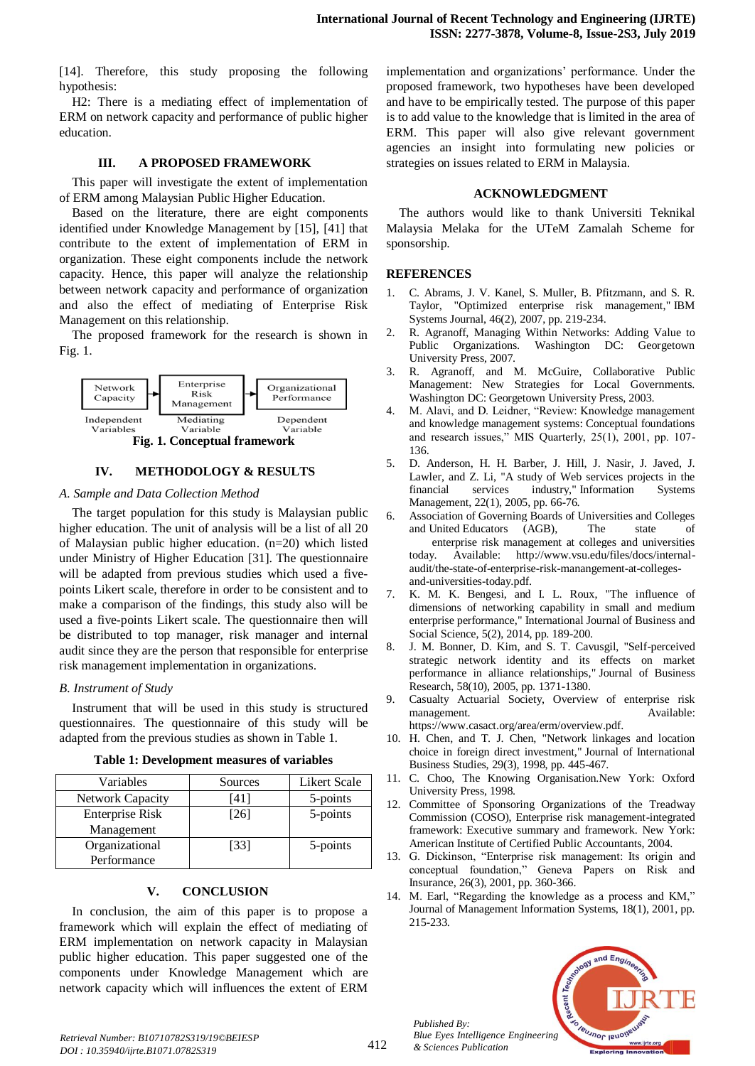[14]. Therefore, this study proposing the following hypothesis:

H2: There is a mediating effect of implementation of ERM on network capacity and performance of public higher education.

#### **III. A PROPOSED FRAMEWORK**

This paper will investigate the extent of implementation of ERM among Malaysian Public Higher Education.

Based on the literature, there are eight components identified under Knowledge Management by [15], [41] that contribute to the extent of implementation of ERM in organization. These eight components include the network capacity. Hence, this paper will analyze the relationship between network capacity and performance of organization and also the effect of mediating of Enterprise Risk Management on this relationship.

The proposed framework for the research is shown in Fig. 1.



### **IV. METHODOLOGY & RESULTS**

#### *A. Sample and Data Collection Method*

The target population for this study is Malaysian public higher education. The unit of analysis will be a list of all 20 of Malaysian public higher education. (n=20) which listed under Ministry of Higher Education [31]. The questionnaire will be adapted from previous studies which used a fivepoints Likert scale, therefore in order to be consistent and to make a comparison of the findings, this study also will be used a five-points Likert scale. The questionnaire then will be distributed to top manager, risk manager and internal audit since they are the person that responsible for enterprise risk management implementation in organizations.

#### *B. Instrument of Study*

Instrument that will be used in this study is structured questionnaires. The questionnaire of this study will be adapted from the previous studies as shown in Table 1.

| Variables               | Sources | <b>Likert Scale</b> |
|-------------------------|---------|---------------------|
| <b>Network Capacity</b> | 411     | 5-points            |
| <b>Enterprise Risk</b>  | [26]    | 5-points            |
| Management              |         |                     |
| Organizational          | [33]    | 5-points            |
| Performance             |         |                     |

#### **Table 1: Development measures of variables**

# **V. CONCLUSION**

In conclusion, the aim of this paper is to propose a framework which will explain the effect of mediating of ERM implementation on network capacity in Malaysian public higher education. This paper suggested one of the components under Knowledge Management which are network capacity which will influences the extent of ERM

implementation and organizations' performance. Under the proposed framework, two hypotheses have been developed and have to be empirically tested. The purpose of this paper is to add value to the knowledge that is limited in the area of ERM. This paper will also give relevant government agencies an insight into formulating new policies or strategies on issues related to ERM in Malaysia.

#### **ACKNOWLEDGMENT**

The authors would like to thank Universiti Teknikal Malaysia Melaka for the UTeM Zamalah Scheme for sponsorship.

### **REFERENCES**

- 1. C. Abrams, J. V. Kanel, S. Muller, B. Pfitzmann, and S. R. Taylor, "Optimized enterprise risk management," IBM Systems Journal, 46(2), 2007, pp. 219-234.
- 2. R. Agranoff, Managing Within Networks: Adding Value to Public Organizations. Washington DC: Georgetown University Press, 2007.
- 3. R. Agranoff, and M. McGuire, Collaborative Public Management: New Strategies for Local Governments. Washington DC: Georgetown University Press, 2003.
- 4. M. Alavi, and D. Leidner, "Review: Knowledge management and knowledge management systems: Conceptual foundations and research issues," MIS Quarterly, 25(1), 2001, pp. 107- 136.
- 5. D. Anderson, H. H. Barber, J. Hill, J. Nasir, J. Javed, J. Lawler, and Z. Li, "A study of Web services projects in the financial services industry," Information Systems Management, 22(1), 2005, pp. 66-76.
- 6. Association of Governing Boards of Universities and Colleges and United Educators (AGB), The state of enterprise risk management at colleges and universities today. Available: http://www.vsu.edu/files/docs/internalaudit/the-state-of-enterprise-risk-manangement-at-collegesand-universities-today.pdf.
- 7. K. M. K. Bengesi, and I. L. Roux, "The influence of dimensions of networking capability in small and medium enterprise performance," International Journal of Business and Social Science, 5(2), 2014, pp. 189-200.
- 8. J. M. Bonner, D. Kim, and S. T. Cavusgil, "Self-perceived strategic network identity and its effects on market performance in alliance relationships," Journal of Business Research, 58(10), 2005, pp. 1371-1380.
- 9. Casualty Actuarial Society, Overview of enterprise risk management. Available: https://www.casact.org/area/erm/overview.pdf.
- 10. H. Chen, and T. J. Chen, "Network linkages and location choice in foreign direct investment," Journal of International Business Studies, 29(3), 1998, pp. 445-467.
- 11. C. Choo, The Knowing Organisation.New York: Oxford University Press, 1998.
- 12. Committee of Sponsoring Organizations of the Treadway Commission (COSO), Enterprise risk management-integrated framework: Executive summary and framework. New York: American Institute of Certified Public Accountants, 2004.
- 13. G. Dickinson, "Enterprise risk management: Its origin and conceptual foundation," Geneva Papers on Risk and Insurance, 26(3), 2001, pp. 360-366.
- 14. M. Earl, "Regarding the knowledge as a process and KM," Journal of Management Information Systems, 18(1), 2001, pp. 215-233.



*Published By:*

*& Sciences Publication*